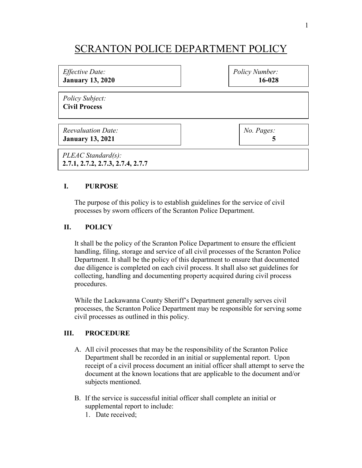## SCRANTON POLICE DEPARTMENT POLICY

| Effective Date:                                            | Policy Number: |
|------------------------------------------------------------|----------------|
| <b>January 13, 2020</b>                                    | 16-028         |
| Policy Subject:<br><b>Civil Process</b>                    |                |
| Reevaluation Date:                                         | No. Pages:     |
| <b>January 13, 2021</b>                                    | 5              |
| $PLEAC Standard(s)$ :<br>2.7.1, 2.7.2, 2.7.3, 2.7.4, 2.7.7 |                |

## **I. PURPOSE**

The purpose of this policy is to establish guidelines for the service of civil processes by sworn officers of the Scranton Police Department.

## **II. POLICY**

It shall be the policy of the Scranton Police Department to ensure the efficient handling, filing, storage and service of all civil processes of the Scranton Police Department. It shall be the policy of this department to ensure that documented due diligence is completed on each civil process. It shall also set guidelines for collecting, handling and documenting property acquired during civil process procedures.

While the Lackawanna County Sheriff's Department generally serves civil processes, the Scranton Police Department may be responsible for serving some civil processes as outlined in this policy.

## **III. PROCEDURE**

- A. All civil processes that may be the responsibility of the Scranton Police Department shall be recorded in an initial or supplemental report. Upon receipt of a civil process document an initial officer shall attempt to serve the document at the known locations that are applicable to the document and/or subjects mentioned.
- B. If the service is successful initial officer shall complete an initial or supplemental report to include:
	- 1. Date received;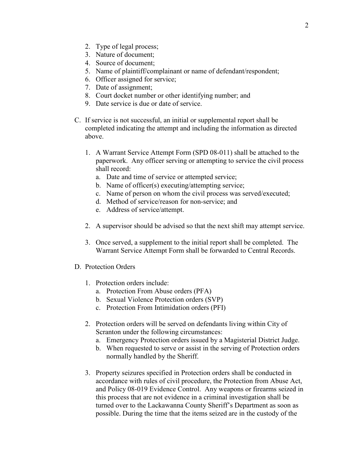- 2. Type of legal process;
- 3. Nature of document;
- 4. Source of document;
- 5. Name of plaintiff/complainant or name of defendant/respondent;
- 6. Officer assigned for service;
- 7. Date of assignment;
- 8. Court docket number or other identifying number; and
- 9. Date service is due or date of service.
- C. If service is not successful, an initial or supplemental report shall be completed indicating the attempt and including the information as directed above.
	- 1. A Warrant Service Attempt Form (SPD 08-011) shall be attached to the paperwork. Any officer serving or attempting to service the civil process shall record:
		- a. Date and time of service or attempted service;
		- b. Name of officer(s) executing/attempting service;
		- c. Name of person on whom the civil process was served/executed;
		- d. Method of service/reason for non-service; and
		- e. Address of service/attempt.
	- 2. A supervisor should be advised so that the next shift may attempt service.
	- 3. Once served, a supplement to the initial report shall be completed. The Warrant Service Attempt Form shall be forwarded to Central Records.
- D. Protection Orders
	- 1. Protection orders include:
		- a. Protection From Abuse orders (PFA)
		- b. Sexual Violence Protection orders (SVP)
		- c. Protection From Intimidation orders (PFI)
	- 2. Protection orders will be served on defendants living within City of Scranton under the following circumstances:
		- a. Emergency Protection orders issued by a Magisterial District Judge.
		- b. When requested to serve or assist in the serving of Protection orders normally handled by the Sheriff.
	- 3. Property seizures specified in Protection orders shall be conducted in accordance with rules of civil procedure, the Protection from Abuse Act, and Policy 08-019 Evidence Control. Any weapons or firearms seized in this process that are not evidence in a criminal investigation shall be turned over to the Lackawanna County Sheriff's Department as soon as possible. During the time that the items seized are in the custody of the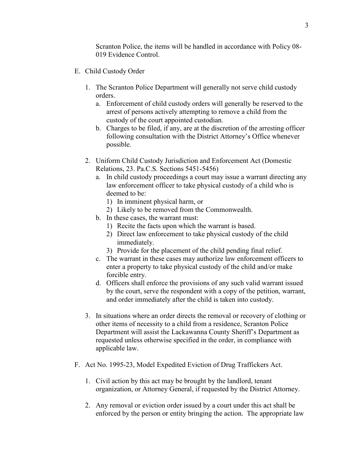Scranton Police, the items will be handled in accordance with Policy 08- 019 Evidence Control.

- E. Child Custody Order
	- 1. The Scranton Police Department will generally not serve child custody orders.
		- a. Enforcement of child custody orders will generally be reserved to the arrest of persons actively attempting to remove a child from the custody of the court appointed custodian.
		- b. Charges to be filed, if any, are at the discretion of the arresting officer following consultation with the District Attorney's Office whenever possible.
	- 2. Uniform Child Custody Jurisdiction and Enforcement Act (Domestic Relations, 23. Pa.C.S. Sections 5451-5456)
		- a. In child custody proceedings a court may issue a warrant directing any law enforcement officer to take physical custody of a child who is deemed to be:
			- 1) In imminent physical harm, or
			- 2) Likely to be removed from the Commonwealth.
		- b. In these cases, the warrant must:
			- 1) Recite the facts upon which the warrant is based.
			- 2) Direct law enforcement to take physical custody of the child immediately.
			- 3) Provide for the placement of the child pending final relief.
		- c. The warrant in these cases may authorize law enforcement officers to enter a property to take physical custody of the child and/or make forcible entry.
		- d. Officers shall enforce the provisions of any such valid warrant issued by the court, serve the respondent with a copy of the petition, warrant, and order immediately after the child is taken into custody.
	- 3. In situations where an order directs the removal or recovery of clothing or other items of necessity to a child from a residence, Scranton Police Department will assist the Lackawanna County Sheriff's Department as requested unless otherwise specified in the order, in compliance with applicable law.
- F. Act No. 1995-23, Model Expedited Eviction of Drug Traffickers Act.
	- 1. Civil action by this act may be brought by the landlord, tenant organization, or Attorney General, if requested by the District Attorney.
	- 2. Any removal or eviction order issued by a court under this act shall be enforced by the person or entity bringing the action. The appropriate law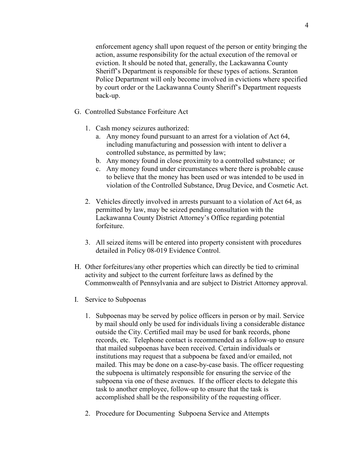enforcement agency shall upon request of the person or entity bringing the action, assume responsibility for the actual execution of the removal or eviction. It should be noted that, generally, the Lackawanna County Sheriff's Department is responsible for these types of actions. Scranton Police Department will only become involved in evictions where specified by court order or the Lackawanna County Sheriff's Department requests back-up.

- G. Controlled Substance Forfeiture Act
	- 1. Cash money seizures authorized:
		- a. Any money found pursuant to an arrest for a violation of Act 64, including manufacturing and possession with intent to deliver a controlled substance, as permitted by law;
		- b. Any money found in close proximity to a controlled substance; or
		- c. Any money found under circumstances where there is probable cause to believe that the money has been used or was intended to be used in violation of the Controlled Substance, Drug Device, and Cosmetic Act.
	- 2. Vehicles directly involved in arrests pursuant to a violation of Act 64, as permitted by law, may be seized pending consultation with the Lackawanna County District Attorney's Office regarding potential forfeiture.
	- 3. All seized items will be entered into property consistent with procedures detailed in Policy 08-019 Evidence Control.
- H. Other forfeitures/any other properties which can directly be tied to criminal activity and subject to the current forfeiture laws as defined by the Commonwealth of Pennsylvania and are subject to District Attorney approval.
- I. Service to Subpoenas
	- 1. Subpoenas may be served by police officers in person or by mail. Service by mail should only be used for individuals living a considerable distance outside the City. Certified mail may be used for bank records, phone records, etc. Telephone contact is recommended as a follow-up to ensure that mailed subpoenas have been received. Certain individuals or institutions may request that a subpoena be faxed and/or emailed, not mailed. This may be done on a case-by-case basis. The officer requesting the subpoena is ultimately responsible for ensuring the service of the subpoena via one of these avenues. If the officer elects to delegate this task to another employee, follow-up to ensure that the task is accomplished shall be the responsibility of the requesting officer.
	- 2. Procedure for Documenting Subpoena Service and Attempts